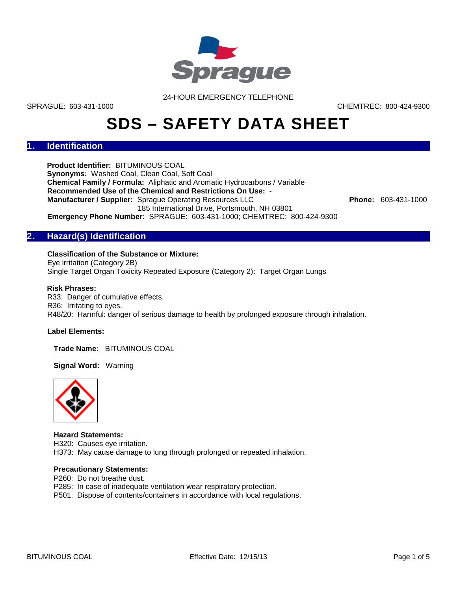

24-HOUR EMERGENCY TELEPHONE

SPRAGUE: 603-431-1000 CHEMTREC: 800-424-9300

# **SDS – SAFETY DATA SHEET**

# **1. Identification**

**Product Identifier:** BITUMINOUS COAL **Synonyms:** Washed Coal, Clean Coal, Soft Coal **Chemical Family / Formula:** Aliphatic and Aromatic Hydrocarbons / Variable **Recommended Use of the Chemical and Restrictions On Use:** - **Manufacturer / Supplier:** Sprague Operating Resources LLC **Phone: 603-431-1000** 185 International Drive, Portsmouth, NH 03801 **Emergency Phone Number:** SPRAGUE: 603-431-1000; CHEMTREC: 800-424-9300

**2. Hazard(s) Identification**

# **Classification of the Substance or Mixture:**

Eye irritation (Category 2B) Single Target Organ Toxicity Repeated Exposure (Category 2): Target Organ Lungs

# **Risk Phrases:**

R33: Danger of cumulative effects. R36: Irritating to eyes. R48/20: Harmful: danger of serious damage to health by prolonged exposure through inhalation.

## **Label Elements:**

**Trade Name:** BITUMINOUS COAL

**Signal Word:** Warning



#### **Hazard Statements:**

H320: Causes eye irritation.

H373: May cause damage to lung through prolonged or repeated inhalation.

#### **Precautionary Statements:**

- P260: Do not breathe dust.
- P285: In case of inadequate ventilation wear respiratory protection.
- P501: Dispose of contents/containers in accordance with local regulations.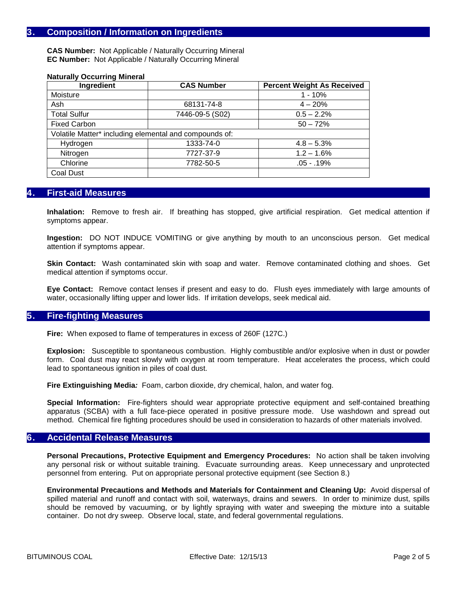# **3. Composition / Information on Ingredients**

**CAS Number:** Not Applicable / Naturally Occurring Mineral **EC Number:** Not Applicable / Naturally Occurring Mineral

| Ingredient                                             | <b>CAS Number</b> | <b>Percent Weight As Received</b> |  |  |  |
|--------------------------------------------------------|-------------------|-----------------------------------|--|--|--|
| Moisture                                               |                   | $1 - 10%$                         |  |  |  |
| Ash                                                    | 68131-74-8        | $4 - 20%$                         |  |  |  |
| <b>Total Sulfur</b>                                    | 7446-09-5 (S02)   | $0.5 - 2.2%$                      |  |  |  |
| <b>Fixed Carbon</b>                                    |                   | $50 - 72%$                        |  |  |  |
| Volatile Matter* including elemental and compounds of: |                   |                                   |  |  |  |
| Hydrogen                                               | 1333-74-0         | $4.8 - 5.3%$                      |  |  |  |
| Nitrogen                                               | 7727-37-9         | $1.2 - 1.6%$                      |  |  |  |
| Chlorine                                               | 7782-50-5         | $.05 - .19%$                      |  |  |  |
| Coal Dust                                              |                   |                                   |  |  |  |

#### **Naturally Occurring Mineral**

# **4. First-aid Measures**

**Inhalation:** Remove to fresh air. If breathing has stopped, give artificial respiration. Get medical attention if symptoms appear.

**Ingestion:** DO NOT INDUCE VOMITING or give anything by mouth to an unconscious person. Get medical attention if symptoms appear.

**Skin Contact:** Wash contaminated skin with soap and water. Remove contaminated clothing and shoes. Get medical attention if symptoms occur.

**Eye Contact:** Remove contact lenses if present and easy to do.Flush eyes immediately with large amounts of water, occasionally lifting upper and lower lids. If irritation develops, seek medical aid.

# **5. Fire-fighting Measures**

**Fire:** When exposed to flame of temperatures in excess of 260F (127C.)

**Explosion:** Susceptible to spontaneous combustion. Highly combustible and/or explosive when in dust or powder form. Coal dust may react slowly with oxygen at room temperature. Heat accelerates the process, which could lead to spontaneous ignition in piles of coal dust.

**Fire Extinguishing Media***:* Foam, carbon dioxide, dry chemical, halon, and water fog.

**Special Information:** Fire-fighters should wear appropriate protective equipment and self-contained breathing apparatus (SCBA) with a full face-piece operated in positive pressure mode. Use washdown and spread out method. Chemical fire fighting procedures should be used in consideration to hazards of other materials involved.

## **6. Accidental Release Measures**

**Personal Precautions, Protective Equipment and Emergency Procedures:** No action shall be taken involving any personal risk or without suitable training. Evacuate surrounding areas. Keep unnecessary and unprotected personnel from entering. Put on appropriate personal protective equipment (see Section 8.)

**Environmental Precautions and Methods and Materials for Containment and Cleaning Up:** Avoid dispersal of spilled material and runoff and contact with soil, waterways, drains and sewers. In order to minimize dust, spills should be removed by vacuuming, or by lightly spraying with water and sweeping the mixture into a suitable container. Do not dry sweep. Observe local, state, and federal governmental regulations.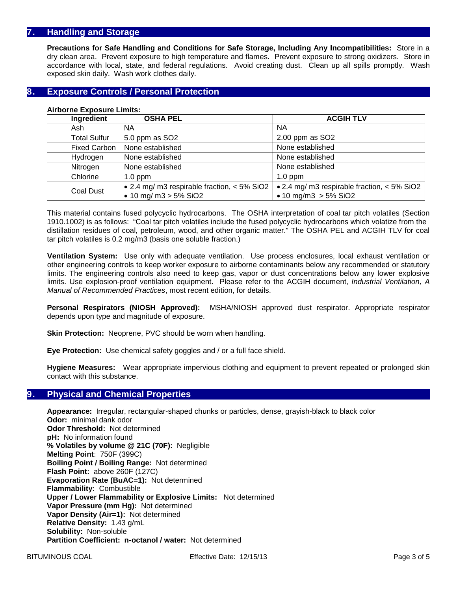# **7. Handling and Storage**

**Precautions for Safe Handling and Conditions for Safe Storage, Including Any Incompatibilities:** Store in a dry clean area. Prevent exposure to high temperature and flames. Prevent exposure to strong oxidizers. Store in accordance with local, state, and federal regulations. Avoid creating dust. Clean up all spills promptly. Wash exposed skin daily. Wash work clothes daily.

# **8. Exposure Controls / Personal Protection**

| Ingredient          | <b>OSHA PEL</b>                               | <b>ACGIH TLV</b>                            |  |  |
|---------------------|-----------------------------------------------|---------------------------------------------|--|--|
| Ash                 | <b>NA</b>                                     | NA                                          |  |  |
| <b>Total Sulfur</b> | 5.0 ppm as SO2                                | 2.00 ppm as SO2                             |  |  |
| <b>Fixed Carbon</b> | None established                              | None established                            |  |  |
| Hydrogen            | None established                              | None established                            |  |  |
| Nitrogen            | None established                              | None established                            |  |  |
| Chlorine            | $1.0$ ppm                                     | $1.0$ ppm                                   |  |  |
| Coal Dust           | • 2.4 mg/ m3 respirable fraction, $<$ 5% SiO2 | • 2.4 mg/ m3 respirable fraction, < 5% SiO2 |  |  |
|                     | • 10 mg/ m3 $> 5\%$ SiO2                      | • 10 mg/m3 $> 5\%$ SiO2                     |  |  |

#### **Airborne Exposure Limits:**

This material contains fused polycyclic hydrocarbons. The OSHA interpretation of coal tar pitch volatiles (Section 1910.1002) is as follows: "Coal tar pitch volatiles include the fused polycyclic hydrocarbons which volatize from the distillation residues of coal, petroleum, wood, and other organic matter." The OSHA PEL and ACGIH TLV for coal tar pitch volatiles is 0.2 mg/m3 (basis one soluble fraction.)

**Ventilation System:** Use only with adequate ventilation. Use process enclosures, local exhaust ventilation or other engineering controls to keep worker exposure to airborne contaminants below any recommended or statutory limits. The engineering controls also need to keep gas, vapor or dust concentrations below any lower explosive limits. Use explosion-proof ventilation equipment. Please refer to the ACGIH document, *Industrial Ventilation, A Manual of Recommended Practices*, most recent edition, for details.

**Personal Respirators (NIOSH Approved):** MSHA/NIOSH approved dust respirator. Appropriate respirator depends upon type and magnitude of exposure.

**Skin Protection:** Neoprene, PVC should be worn when handling.

**Eye Protection:** Use chemical safety goggles and / or a full face shield.

**Hygiene Measures:** Wear appropriate impervious clothing and equipment to prevent repeated or prolonged skin contact with this substance.

## **9. Physical and Chemical Properties**

**Appearance:** Irregular, rectangular-shaped chunks or particles, dense, grayish-black to black color **Odor:** minimal dank odor **Odor Threshold:** Not determined **pH:** No information found **% Volatiles by volume @ 21C (70F):** Negligible **Melting Point**: 750F (399C) **Boiling Point / Boiling Range:** Not determined **Flash Point:** above 260F (127C) **Evaporation Rate (BuAC=1):** Not determined **Flammability:** Combustible **Upper / Lower Flammability or Explosive Limits:** Not determined **Vapor Pressure (mm Hg):** Not determined **Vapor Density (Air=1):** Not determined **Relative Density:** 1.43 g/mL **Solubility:** Non-soluble **Partition Coefficient: n-octanol / water:** Not determined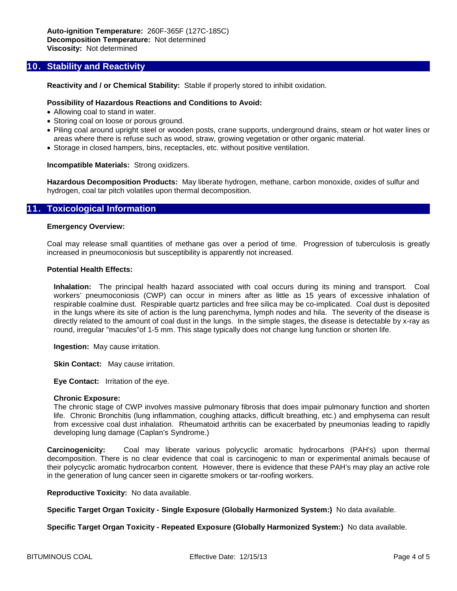# **10. Stability and Reactivity**

**Reactivity and / or Chemical Stability:** Stable if properly stored to inhibit oxidation.

#### **Possibility of Hazardous Reactions and Conditions to Avoid:**

- Allowing coal to stand in water.
- Storing coal on loose or porous ground.
- Piling coal around upright steel or wooden posts, crane supports, underground drains, steam or hot water lines or areas where there is refuse such as wood, straw, growing vegetation or other organic material.
- Storage in closed hampers, bins, receptacles, etc. without positive ventilation.

#### **Incompatible Materials:** Strong oxidizers.

**Hazardous Decomposition Products:** May liberate hydrogen, methane, carbon monoxide, oxides of sulfur and hydrogen, coal tar pitch volatiles upon thermal decomposition.

# **11. Toxicological Information**

#### **Emergency Overview:**

Coal may release small quantities of methane gas over a period of time. Progression of tuberculosis is greatly increased in pneumoconiosis but susceptibility is apparently not increased.

#### **Potential Health Effects:**

**Inhalation:** The principal health hazard associated with coal occurs during its mining and transport. Coal workers' pneumoconiosis (CWP) can occur in miners after as little as 15 years of excessive inhalation of respirable coalmine dust. Respirable quartz particles and free silica may be co-implicated. Coal dust is deposited in the lungs where its site of action is the lung parenchyma, lymph nodes and hila. The severity of the disease is directly related to the amount of coal dust in the lungs. In the simple stages, the disease is detectable by x-ray as round, irregular "macules"of 1-5 mm. This stage typically does not change lung function or shorten life.

**Ingestion:** May cause irritation.

**Skin Contact:** May cause irritation.

**Eye Contact:** Irritation of the eye.

#### **Chronic Exposure:**

The chronic stage of CWP involves massive pulmonary fibrosis that does impair pulmonary function and shorten life. Chronic Bronchitis (lung inflammation, coughing attacks, difficult breathing, etc.) and emphysema can result from excessive coal dust inhalation. Rheumatoid arthritis can be exacerbated by pneumonias leading to rapidly developing lung damage (Caplan's Syndrome.)

**Carcinogenicity:** Coal may liberate various polycyclic aromatic hydrocarbons (PAH's) upon thermal decomposition. There is no clear evidence that coal is carcinogenic to man or experimental animals because of their polycyclic aromatic hydrocarbon content. However, there is evidence that these PAH's may play an active role in the generation of lung cancer seen in cigarette smokers or tar-roofing workers.

**Reproductive Toxicity:** No data available.

**Specific Target Organ Toxicity - Single Exposure (Globally Harmonized System:)** No data available.

**Specific Target Organ Toxicity - Repeated Exposure (Globally Harmonized System:)** No data available.